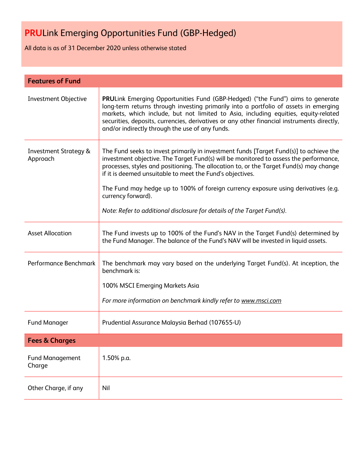All data is as of 31 December 2020 unless otherwise stated

| <b>Features of Fund</b>                      |                                                                                                                                                                                                                                                                                                                                                                                                                                                                                                                               |  |
|----------------------------------------------|-------------------------------------------------------------------------------------------------------------------------------------------------------------------------------------------------------------------------------------------------------------------------------------------------------------------------------------------------------------------------------------------------------------------------------------------------------------------------------------------------------------------------------|--|
| Investment Objective                         | <b>PRULink Emerging Opportunities Fund (GBP-Hedged) ("the Fund") aims to generate</b><br>long-term returns through investing primarily into a portfolio of assets in emerging<br>markets, which include, but not limited to Asia, including equities, equity-related<br>securities, deposits, currencies, derivatives or any other financial instruments directly,<br>and/or indirectly through the use of any funds.                                                                                                         |  |
| <b>Investment Strategy &amp;</b><br>Approach | The Fund seeks to invest primarily in investment funds [Target Fund(s)] to achieve the<br>investment objective. The Target Fund(s) will be monitored to assess the performance,<br>processes, styles and positioning. The allocation to, or the Target Fund(s) may change<br>if it is deemed unsuitable to meet the Fund's objectives.<br>The Fund may hedge up to 100% of foreign currency exposure using derivatives (e.g.<br>currency forward).<br>Note: Refer to additional disclosure for details of the Target Fund(s). |  |
| <b>Asset Allocation</b>                      | The Fund invests up to 100% of the Fund's NAV in the Target Fund(s) determined by<br>the Fund Manager. The balance of the Fund's NAV will be invested in liquid assets.                                                                                                                                                                                                                                                                                                                                                       |  |
| Performance Benchmark                        | The benchmark may vary based on the underlying Target Fund(s). At inception, the<br>benchmark is:<br>100% MSCI Emerging Markets Asia                                                                                                                                                                                                                                                                                                                                                                                          |  |
|                                              | For more information on benchmark kindly refer to www.msci.com                                                                                                                                                                                                                                                                                                                                                                                                                                                                |  |
| <b>Fund Manager</b>                          | Prudential Assurance Malaysia Berhad (107655-U)                                                                                                                                                                                                                                                                                                                                                                                                                                                                               |  |
| <b>Fees &amp; Charges</b>                    |                                                                                                                                                                                                                                                                                                                                                                                                                                                                                                                               |  |
| <b>Fund Management</b><br>Charge             | 1.50% p.a.                                                                                                                                                                                                                                                                                                                                                                                                                                                                                                                    |  |
| Other Charge, if any                         | Nil                                                                                                                                                                                                                                                                                                                                                                                                                                                                                                                           |  |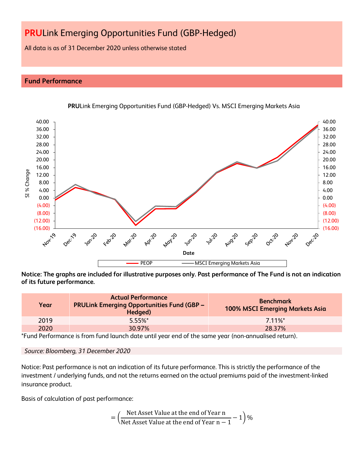All data is as of 31 December 2020 unless otherwise stated

### **Fund Performance**



**PRU**Link Emerging Opportunities Fund (GBP-Hedged) Vs. MSCI Emerging Markets Asia

**Notice: The graphs are included for illustrative purposes only. Past performance of The Fund is not an indication of its future performance.**

| Year | <b>Actual Performance</b><br><b>PRULink Emerging Opportunities Fund (GBP -</b><br>Hedged) | <b>Benchmark</b><br><b>100% MSCI Emerging Markets Asia</b> |
|------|-------------------------------------------------------------------------------------------|------------------------------------------------------------|
| 2019 | $5.55\%$ *                                                                                | $711\%$ <sup>*</sup>                                       |
| 2020 | 30.97%                                                                                    | 28.37%                                                     |

\*Fund Performance is from fund launch date until year end of the same year (non-annualised return).

Notice: Past performance is not an indication of its future performance. This is strictly the performance of the investment / underlying funds, and not the returns earned on the actual premiums paid of the investment-linked insurance product.

Basis of calculation of past performance:

$$
= \left(\frac{\text{Net Asset Value at the end of Year n}}{\text{Net Asset Value at the end of Year n} - 1}\right)\%
$$

*Source: Bloomberg, 31 December 2020*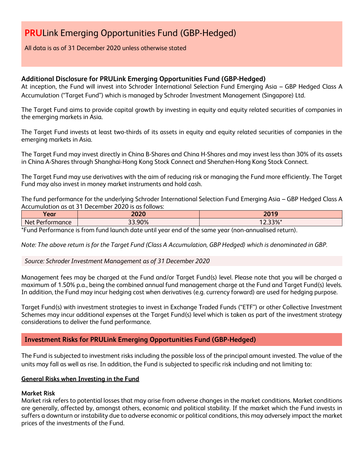All data is as of 31 December 2020 unless otherwise stated

### **Additional Disclosure for PRULink Emerging Opportunities Fund (GBP-Hedged)**

At inception, the Fund will invest into Schroder International Selection Fund Emerging Asia – GBP Hedged Class A Accumulation ("Target Fund") which is managed by Schroder Investment Management (Singapore) Ltd.

The Target Fund aims to provide capital growth by investing in equity and equity related securities of companies in the emerging markets in Asia.

The Target Fund invests at least two-thirds of its assets in equity and equity related securities of companies in the emerging markets in Asia.

The Target Fund may invest directly in China B-Shares and China H-Shares and may invest less than 30% of its assets in China A-Shares through Shanghai-Hong Kong Stock Connect and Shenzhen-Hong Kong Stock Connect.

The Target Fund may use derivatives with the aim of reducing risk or managing the Fund more efficiently. The Target Fund may also invest in money market instruments and hold cash.

The fund performance for the underlying Schroder International Selection Fund Emerging Asia – GBP Hedged Class A Accumulation as at 31 December 2020 is as follows:

| $\bullet$                      | วกวก             | 2010                                            |
|--------------------------------|------------------|-------------------------------------------------|
| Year                           | ZUZY             | 20 I J                                          |
| -<br><b>Net</b><br>Performance | 33.90%<br>$\sim$ | $220/$ *<br>$\overline{\phantom{a}}$<br>2.JJ 70 |

\*Fund Performance is from fund launch date until year end of the same year (non-annualised return).

*Note: The above return is for the Target Fund (Class A Accumulation, GBP Hedged) which is denominated in GBP.*

#### *Source: Schroder Investment Management as of 31 December 2020*

Management fees may be charged at the Fund and/or Target Fund(s) level. Please note that you will be charged a maximum of 1.50% p.a., being the combined annual fund management charge at the Fund and Target Fund(s) levels. In addition, the Fund may incur hedging cost when derivatives (e.g. currency forward) are used for hedging purpose.

Target Fund(s) with investment strategies to invest in Exchange Traded Funds ("ETF") or other Collective Investment Schemes may incur additional expenses at the Target Fund(s) level which is taken as part of the investment strategy considerations to deliver the fund performance.

### **Investment Risks for PRULink Emerging Opportunities Fund (GBP-Hedged)**

The Fund is subjected to investment risks including the possible loss of the principal amount invested. The value of the units may fall as well as rise. In addition, the Fund is subjected to specific risk including and not limiting to:

### **General Risks when Investing in the Fund**

#### **Market Risk**

Market risk refers to potential losses that may arise from adverse changes in the market conditions. Market conditions are generally, affected by, amongst others, economic and political stability. If the market which the Fund invests in suffers a downturn or instability due to adverse economic or political conditions, this may adversely impact the market prices of the investments of the Fund.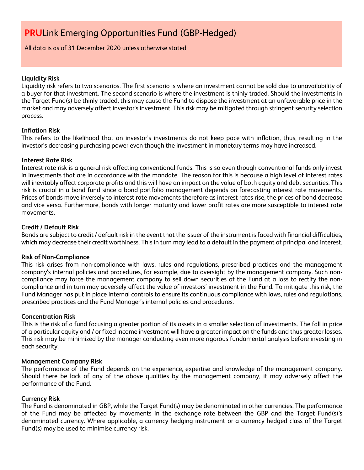#### All data is as of 31 December 2020 unless otherwise stated

#### **Liquidity Risk**

Liquidity risk refers to two scenarios. The first scenario is where an investment cannot be sold due to unavailability of a buyer for that investment. The second scenario is where the investment is thinly traded. Should the investments in the Target Fund(s) be thinly traded, this may cause the Fund to dispose the investment at an unfavorable price in the market and may adversely affect investor's investment. This risk may be mitigated through stringent security selection process.

#### **Inflation Risk**

This refers to the likelihood that an investor's investments do not keep pace with inflation, thus, resulting in the investor's decreasing purchasing power even though the investment in monetary terms may have increased.

#### **Interest Rate Risk**

Interest rate risk is a general risk affecting conventional funds. This is so even though conventional funds only invest in investments that are in accordance with the mandate. The reason for this is because a high level of interest rates will inevitably affect corporate profits and this will have an impact on the value of both equity and debt securities. This risk is crucial in a bond fund since a bond portfolio management depends on forecasting interest rate movements. Prices of bonds move inversely to interest rate movements therefore as interest rates rise, the prices of bond decrease and vice versa. Furthermore, bonds with longer maturity and lower profit rates are more susceptible to interest rate movements.

#### **Credit / Default Risk**

Bonds are subject to credit / default risk in the event that the issuer of the instrument is faced with financial difficulties, which may decrease their credit worthiness. This in turn may lead to a default in the payment of principal and interest.

#### **Risk of Non-Compliance**

This risk arises from non-compliance with laws, rules and regulations, prescribed practices and the management company's internal policies and procedures, for example, due to oversight by the management company. Such noncompliance may force the management company to sell down securities of the Fund at a loss to rectify the noncompliance and in turn may adversely affect the value of investors' investment in the Fund. To mitigate this risk, the Fund Manager has put in place internal controls to ensure its continuous compliance with laws, rules and regulations, prescribed practices and the Fund Manager's internal policies and procedures.

#### **Concentration Risk**

This is the risk of a fund focusing a greater portion of its assets in a smaller selection of investments. The fall in price of a particular equity and / or fixed income investment will have a greater impact on the funds and thus greater losses. This risk may be minimized by the manager conducting even more rigorous fundamental analysis before investing in each security.

#### **Management Company Risk**

The performance of the Fund depends on the experience, expertise and knowledge of the management company. Should there be lack of any of the above qualities by the management company, it may adversely affect the performance of the Fund.

#### **Currency Risk**

The Fund is denominated in GBP, while the Target Fund(s) may be denominated in other currencies. The performance of the Fund may be affected by movements in the exchange rate between the GBP and the Target Fund(s)'s denominated currency. Where applicable, a currency hedging instrument or a currency hedged class of the Target Fund(s) may be used to minimise currency risk.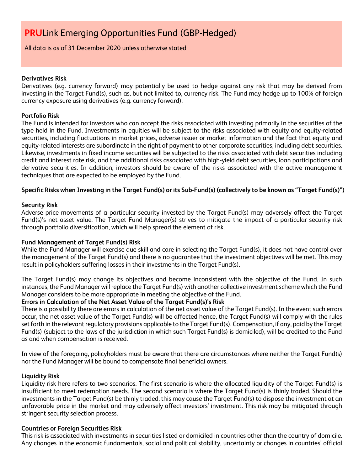All data is as of 31 December 2020 unless otherwise stated

#### **Derivatives Risk**

Derivatives (e.g. currency forward) may potentially be used to hedge against any risk that may be derived from investing in the Target Fund(s), such as, but not limited to, currency risk. The Fund may hedge up to 100% of foreign currency exposure using derivatives (e.g. currency forward).

#### **Portfolio Risk**

The Fund is intended for investors who can accept the risks associated with investing primarily in the securities of the type held in the Fund. Investments in equities will be subject to the risks associated with equity and equity-related securities, including fluctuations in market prices, adverse issuer or market information and the fact that equity and equity-related interests are subordinate in the right of payment to other corporate securities, including debt securities. Likewise, investments in fixed income securities will be subjected to the risks associated with debt securities including credit and interest rate risk, and the additional risks associated with high-yield debt securities, loan participations and derivative securities. In addition, investors should be aware of the risks associated with the active management techniques that are expected to be employed by the Fund.

### **Specific Risks when Investing in the Target Fund(s) or its Sub-Fund(s) (collectively to be known as "Target Fund(s)")**

#### **Security Risk**

Adverse price movements of a particular security invested by the Target Fund(s) may adversely affect the Target Fund(s)'s net asset value. The Target Fund Manager(s) strives to mitigate the impact of a particular security risk through portfolio diversification, which will help spread the element of risk.

### **Fund Management of Target Fund(s) Risk**

While the Fund Manager will exercise due skill and care in selecting the Target Fund(s), it does not have control over the management of the Target Fund(s) and there is no guarantee that the investment objectives will be met. This may result in policyholders suffering losses in their investments in the Target Fund(s).

The Target Fund(s) may change its objectives and become inconsistent with the objective of the Fund. In such instances, the Fund Manager will replace the Target Fund(s) with another collective investment scheme which the Fund Manager considers to be more appropriate in meeting the objective of the Fund.

### **Errors in Calculation of the Net Asset Value of the Target Fund(s)'s Risk**

There is a possibility there are errors in calculation of the net asset value of the Target Fund(s). In the event such errors occur, the net asset value of the Target Fund(s) will be affected hence, the Target Fund(s) will comply with the rules set forth in the relevant regulatory provisions applicable to the Target Fund(s). Compensation, if any, paid by the Target Fund(s) (subject to the laws of the jurisdiction in which such Target Fund(s) is domiciled), will be credited to the Fund as and when compensation is received.

In view of the foregoing, policyholders must be aware that there are circumstances where neither the Target Fund(s) nor the Fund Manager will be bound to compensate final beneficial owners.

#### **Liquidity Risk**

Liquidity risk here refers to two scenarios. The first scenario is where the allocated liquidity of the Target Fund(s) is insufficient to meet redemption needs. The second scenario is where the Target Fund(s) is thinly traded. Should the investments in the Target Fund(s) be thinly traded, this may cause the Target Fund(s) to dispose the investment at an unfavorable price in the market and may adversely affect investors' investment. This risk may be mitigated through stringent security selection process.

#### **Countries or Foreign Securities Risk**

This risk is associated with investments in securities listed or domiciled in countries other than the country of domicile. Any changes in the economic fundamentals, social and political stability, uncertainty or changes in countries' official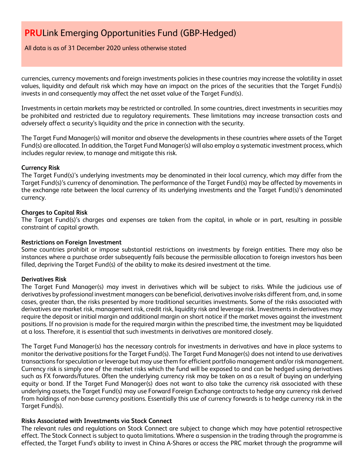All data is as of 31 December 2020 unless otherwise stated

currencies, currency movements and foreign investments policies in these countries may increase the volatility in asset values, liquidity and default risk which may have an impact on the prices of the securities that the Target Fund(s) invests in and consequently may affect the net asset value of the Target Fund(s).

Investments in certain markets may be restricted or controlled. In some countries, direct investments in securities may be prohibited and restricted due to regulatory requirements. These limitations may increase transaction costs and adversely affect a security's liquidity and the price in connection with the security.

The Target Fund Manager(s) will monitor and observe the developments in these countries where assets of the Target Fund(s) are allocated. In addition, the Target Fund Manager(s) will also employ a systematic investment process, which includes regular review, to manage and mitigate this risk.

#### **Currency Risk**

The Target Fund(s)'s underlying investments may be denominated in their local currency, which may differ from the Target Fund(s)'s currency of denomination. The performance of the Target Fund(s) may be affected by movements in the exchange rate between the local currency of its underlying investments and the Target Fund(s)'s denominated currency.

#### **Charges to Capital Risk**

The Target Fund(s)'s charges and expenses are taken from the capital, in whole or in part, resulting in possible constraint of capital growth.

#### **Restrictions on Foreign Investment**

Some countries prohibit or impose substantial restrictions on investments by foreign entities. There may also be instances where a purchase order subsequently fails because the permissible allocation to foreign investors has been filled, depriving the Target Fund(s) of the ability to make its desired investment at the time.

#### **Derivatives Risk**

The Target Fund Manager(s) may invest in derivatives which will be subject to risks. While the judicious use of derivatives by professional investment managers can be beneficial, derivatives involve risks different from, and, in some cases, greater than, the risks presented by more traditional securities investments. Some of the risks associated with derivatives are market risk, management risk, credit risk, liquidity risk and leverage risk. Investments in derivatives may require the deposit or initial margin and additional margin on short notice if the market moves against the investment positions. If no provision is made for the required margin within the prescribed time, the investment may be liquidated at a loss. Therefore, it is essential that such investments in derivatives are monitored closely.

The Target Fund Manager(s) has the necessary controls for investments in derivatives and have in place systems to monitor the derivative positions for the Target Fund(s). The Target Fund Manager(s) does not intend to use derivatives transactions for speculation or leverage but may use them for efficient portfolio management and/or risk management. Currency risk is simply one of the market risks which the fund will be exposed to and can be hedged using derivatives such as FX forwards/futures. Often the underlying currency risk may be taken on as a result of buying an underlying equity or bond. If the Target Fund Manager(s) does not want to also take the currency risk associated with these underlying assets, the Target Fund(s) may use Forward Foreign Exchange contracts to hedge any currency risk derived from holdings of non-base currency positions. Essentially this use of currency forwards is to hedge currency risk in the Target Fund(s).

#### **Risks Associated with Investments via Stock Connect**

The relevant rules and regulations on Stock Connect are subject to change which may have potential retrospective effect. The Stock Connect is subject to quota limitations. Where a suspension in the trading through the programme is effected, the Target Fund's ability to invest in China A-Shares or access the PRC market through the programme will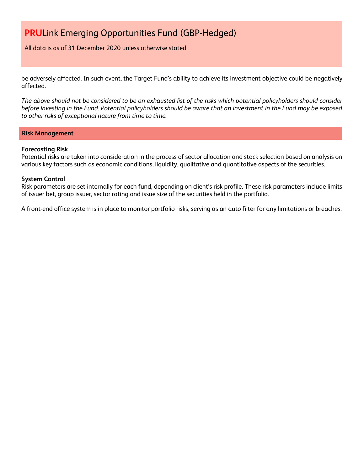All data is as of 31 December 2020 unless otherwise stated

be adversely affected. In such event, the Target Fund's ability to achieve its investment objective could be negatively affected.

*The above should not be considered to be an exhausted list of the risks which potential policyholders should consider before investing in the Fund. Potential policyholders should be aware that an investment in the Fund may be exposed to other risks of exceptional nature from time to time.*

#### **Risk Management**

#### **Forecasting Risk**

Potential risks are taken into consideration in the process of sector allocation and stock selection based on analysis on various key factors such as economic conditions, liquidity, qualitative and quantitative aspects of the securities.

#### **System Control**

Risk parameters are set internally for each fund, depending on client's risk profile. These risk parameters include limits of issuer bet, group issuer, sector rating and issue size of the securities held in the portfolio.

A front-end office system is in place to monitor portfolio risks, serving as an auto filter for any limitations or breaches.